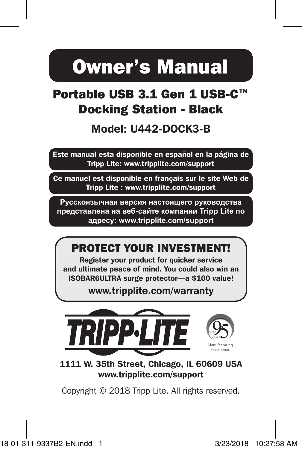# Owner's Manual

### Portable USB 3.1 Gen 1 USB-C™ Docking Station - Black

### Model: U442-DOCK3-B

Este manual esta disponible en español en la página de Tripp Lite: www.tripplite.com/support

Ce manuel est disponible en français sur le site Web de Tripp Lite : www.tripplite.com/support

**Русскоязычная версия настоящего руководства представлена на веб-сайте компании Tripp Lite по адресу: www.tripplite.com/support**

### PROTECT YOUR INVESTMENT!

Register your product for quicker service and ultimate peace of mind. You could also win an ISOBAR6ULTRA surge protector—a \$100 value!

www.tripplite.com/warranty



1111 W. 35th Street, Chicago, IL 60609 USA www.tripplite.com/support

Copyright © 2018 Tripp Lite. All rights reserved.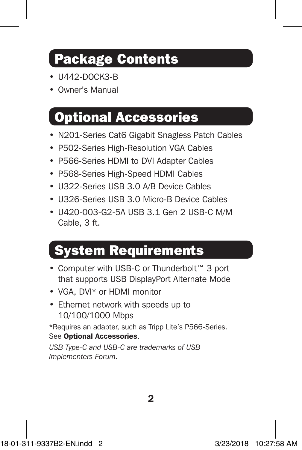### Package Contents

- U442-DOCK3-B
- Owner's Manual

### Optional Accessories

- N201-Series Cat6 Gigabit Snagless Patch Cables
- P502-Series High-Resolution VGA Cables
- P566-Series HDMI to DVI Adapter Cables
- P568-Series High-Speed HDMI Cables
- U322-Series USB 3.0 A/B Device Cables
- U326-Series USB 3.0 Micro-B Device Cables
- U420-003-G2-5A USB 3.1 Gen 2 USB-C M/M Cable, 3 ft.

## System Requirements

- Computer with USB-C or Thunderbolt™ 3 port that supports USB DisplayPort Alternate Mode
- VGA, DVI\* or HDMI monitor
- Ethernet network with speeds up to 10/100/1000 Mbps

\*Requires an adapter, such as Tripp Lite's P566-Series. See Optional Accessories.

*USB Type-C and USB-C are trademarks of USB Implementers Forum.*

 $\overline{2}$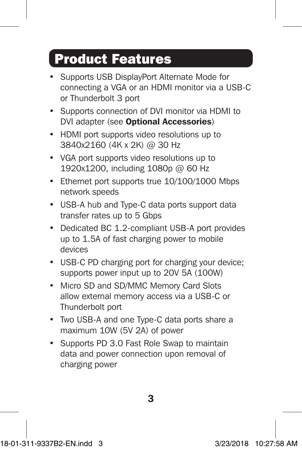### Product Features

- Supports USB DisplayPort Alternate Mode for connecting a VGA or an HDMI monitor via a USB-C or Thunderbolt 3 port
- Supports connection of DVI monitor via HDMI to DVI adapter (see Optional Accessories)
- HDMI port supports video resolutions up to 3840x2160 (4K x 2K) @ 30 Hz
- VGA port supports video resolutions up to 1920x1200, including 1080p @ 60 Hz
- Ethernet port supports true 10/100/1000 Mbps network speeds
- USB-A hub and Type-C data ports support data transfer rates up to 5 Gbps
- Dedicated BC 1.2-compliant USB-A port provides up to 1.5A of fast charging power to mobile devices
- USB-C PD charging port for charging your device; supports power input up to 20V 5A (100W)
- Micro SD and SD/MMC Memory Card Slots allow external memory access via a USB-C or Thunderbolt port
- Two USB-A and one Type-C data ports share a maximum 10W (5V 2A) of power
- Supports PD 3.0 Fast Role Swap to maintain data and power connection upon removal of charging power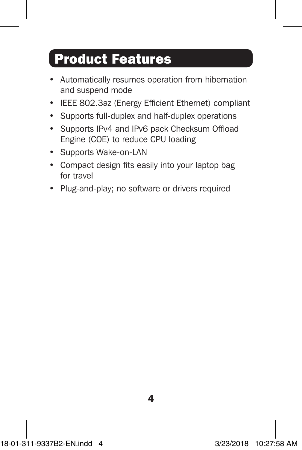### Product Features

- Automatically resumes operation from hibernation and suspend mode
- IEEE 802.3az (Energy Efficient Ethernet) compliant
- Supports full-duplex and half-duplex operations
- Supports IPv4 and IPv6 pack Checksum Offload Engine (COE) to reduce CPU loading
- Supports Wake-on-LAN
- Compact design fits easily into your laptop bag for travel
- Plug-and-play; no software or drivers required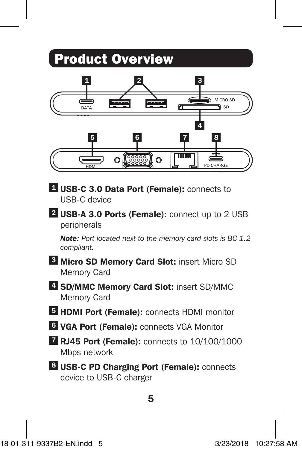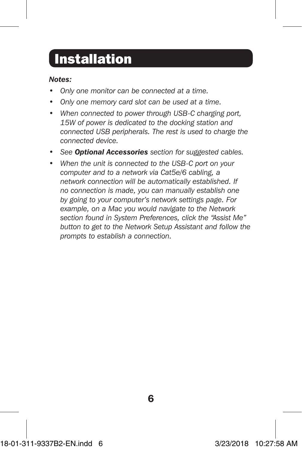### Installation

#### *Notes:*

- *Only one monitor can be connected at a time.*
- *• Only one memory card slot can be used at a time.*
- *• When connected to power through USB-C charging port, 15W of power is dedicated to the docking station and connected USB peripherals. The rest is used to charge the connected device.*
- *• See Optional Accessories section for suggested cables.*
- *• When the unit is connected to the USB-C port on your computer and to a network via Cat5e/6 cabling, a network connection will be automatically established. If no connection is made, you can manually establish one by going to your computer's network settings page. For example, on a Mac you would navigate to the Network section found in System Preferences, click the "Assist Me" button to get to the Network Setup Assistant and follow the prompts to establish a connection.*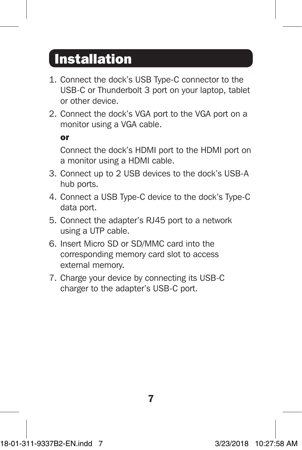### Installation

- 1. Connect the dock's USB Type-C connector to the USB-C or Thunderbolt 3 port on your laptop, tablet or other device.
- 2. Connect the dock's VGA port to the VGA port on a monitor using a VGA cable.

or

Connect the dock's HDMI port to the HDMI port on a monitor using a HDMI cable.

- 3. Connect up to 2 USB devices to the dock's USB-A hub ports.
- 4. Connect a USB Type-C device to the dock's Type-C data port.
- 5. Connect the adapter's RJ45 port to a network using a UTP cable.
- 6. Insert Micro SD or SD/MMC card into the corresponding memory card slot to access external memory.
- 7. Charge your device by connecting its USB-C charger to the adapter's USB-C port.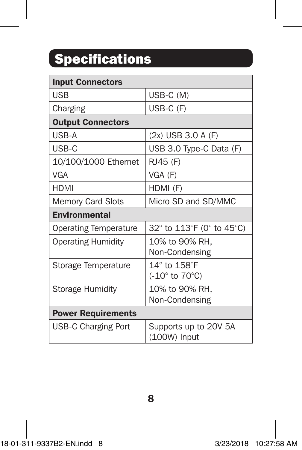# Specifications

| <b>Input Connectors</b>      |                                               |
|------------------------------|-----------------------------------------------|
| USB                          | USB-C (M)                                     |
| Charging                     | USB-C (F)                                     |
| <b>Output Connectors</b>     |                                               |
| USB-A                        | (2x) USB 3.0 A (F)                            |
| USB-C                        | USB 3.0 Type-C Data (F)                       |
| 10/100/1000 Ethernet         | RJ45 (F)                                      |
| <b>VGA</b>                   | VGA (F)                                       |
| <b>HDMI</b>                  | HDMI (F)                                      |
| <b>Memory Card Slots</b>     | Micro SD and SD/MMC                           |
| <b>Environmental</b>         |                                               |
| <b>Operating Temperature</b> | 32° to 113°F (0° to 45°C)                     |
| <b>Operating Humidity</b>    | 10% to 90% RH,<br>Non-Condensing              |
| Storage Temperature          | $14^\circ$ to $158^\circ$ F<br>(-10° to 70°C) |
| <b>Storage Humidity</b>      | 10% to 90% RH,<br>Non-Condensing              |
| <b>Power Requirements</b>    |                                               |
| <b>USB-C Charging Port</b>   | Supports up to 20V 5A<br>(100W) Input         |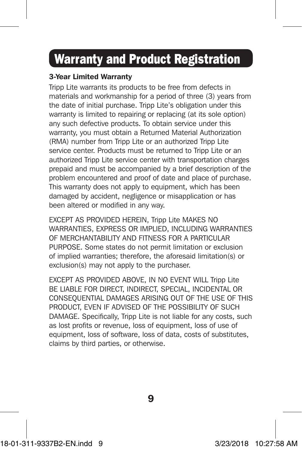### Warranty and Product Registration

#### 3-Year Limited Warranty

Tripp Lite warrants its products to be free from defects in materials and workmanship for a period of three (3) years from the date of initial purchase. Tripp Lite's obligation under this warranty is limited to repairing or replacing (at its sole option) any such defective products. To obtain service under this warranty, you must obtain a Returned Material Authorization (RMA) number from Tripp Lite or an authorized Tripp Lite service center. Products must be returned to Tripp Lite or an authorized Tripp Lite service center with transportation charges prepaid and must be accompanied by a brief description of the problem encountered and proof of date and place of purchase. This warranty does not apply to equipment, which has been damaged by accident, negligence or misapplication or has been altered or modified in any way.

EXCEPT AS PROVIDED HEREIN, Tripp Lite MAKES NO WARRANTIES, EXPRESS OR IMPLIED, INCLUDING WARRANTIES OF MERCHANTABILITY AND FITNESS FOR A PARTICULAR PURPOSE. Some states do not permit limitation or exclusion of implied warranties; therefore, the aforesaid limitation(s) or exclusion(s) may not apply to the purchaser.

EXCEPT AS PROVIDED ABOVE, IN NO EVENT WILL Tripp Lite BE LIABLE FOR DIRECT, INDIRECT, SPECIAL, INCIDENTAL OR CONSEQUENTIAL DAMAGES ARISING OUT OF THE USE OF THIS PRODUCT, EVEN IF ADVISED OF THE POSSIBILITY OF SUCH DAMAGE. Specifically, Tripp Lite is not liable for any costs, such as lost profits or revenue, loss of equipment, loss of use of equipment, loss of software, loss of data, costs of substitutes, claims by third parties, or otherwise.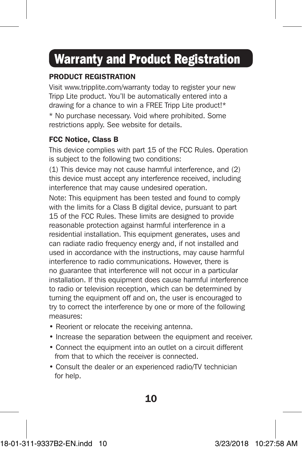## Warranty and Product Registration

#### PRODUCT REGISTRATION

Visit www.tripplite.com/warranty today to register your new Tripp Lite product. You'll be automatically entered into a drawing for a chance to win a FREE Tripp Lite product!\*

\* No purchase necessary. Void where prohibited. Some restrictions apply. See website for details.

#### FCC Notice, Class B

This device complies with part 15 of the FCC Rules. Operation is subject to the following two conditions:

(1) This device may not cause harmful interference, and (2) this device must accept any interference received, including interference that may cause undesired operation.

Note: This equipment has been tested and found to comply with the limits for a Class B digital device, pursuant to part 15 of the FCC Rules. These limits are designed to provide reasonable protection against harmful interference in a residential installation. This equipment generates, uses and can radiate radio frequency energy and, if not installed and used in accordance with the instructions, may cause harmful interference to radio communications. However, there is no guarantee that interference will not occur in a particular installation. If this equipment does cause harmful interference to radio or television reception, which can be determined by turning the equipment off and on, the user is encouraged to try to correct the interference by one or more of the following measures:

- Reorient or relocate the receiving antenna.
- Increase the separation between the equipment and receiver.
- Connect the equipment into an outlet on a circuit different from that to which the receiver is connected.
- Consult the dealer or an experienced radio/TV technician for help.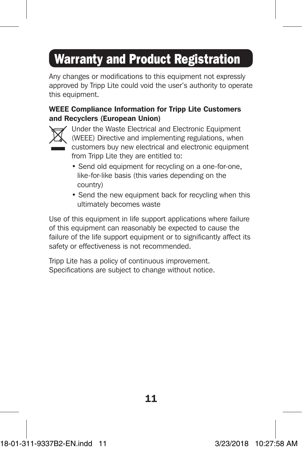# Warranty and Product Registration

Any changes or modifications to this equipment not expressly approved by Tripp Lite could void the user's authority to operate this equipment.

#### WEEE Compliance Information for Tripp Lite Customers and Recyclers (European Union)



Under the Waste Electrical and Electronic Equipment (WEEE) Directive and implementing regulations, when customers buy new electrical and electronic equipment from Tripp Lite they are entitled to:

- Send old equipment for recycling on a one-for-one, like-for-like basis (this varies depending on the country)
- Send the new equipment back for recycling when this ultimately becomes waste

Use of this equipment in life support applications where failure of this equipment can reasonably be expected to cause the failure of the life support equipment or to significantly affect its safety or effectiveness is not recommended.

Tripp Lite has a policy of continuous improvement. Specifications are subject to change without notice.